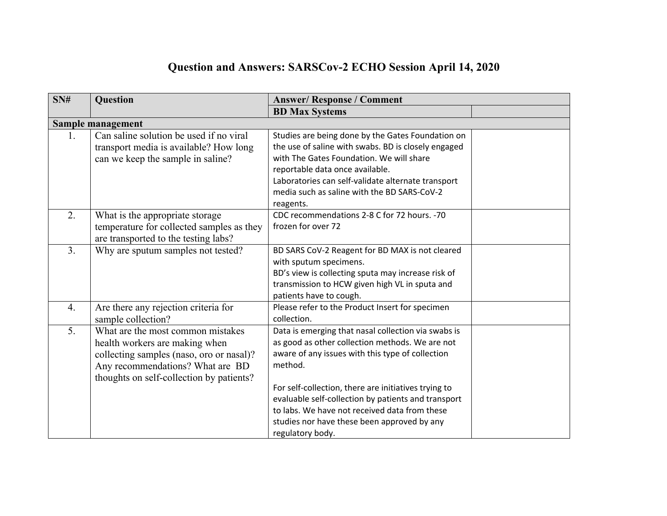## **Question and Answers: SARSCov-2 ECHO Session April 14, 2020**

| SN# | <b>Question</b>                           | <b>Answer/Response / Comment</b>                     |  |
|-----|-------------------------------------------|------------------------------------------------------|--|
|     |                                           | <b>BD Max Systems</b>                                |  |
|     | Sample management                         |                                                      |  |
| 1.  | Can saline solution be used if no viral   | Studies are being done by the Gates Foundation on    |  |
|     | transport media is available? How long    | the use of saline with swabs. BD is closely engaged  |  |
|     | can we keep the sample in saline?         | with The Gates Foundation. We will share             |  |
|     |                                           | reportable data once available.                      |  |
|     |                                           | Laboratories can self-validate alternate transport   |  |
|     |                                           | media such as saline with the BD SARS-CoV-2          |  |
|     |                                           | reagents.                                            |  |
| 2.  | What is the appropriate storage           | CDC recommendations 2-8 C for 72 hours. -70          |  |
|     | temperature for collected samples as they | frozen for over 72                                   |  |
|     | are transported to the testing labs?      |                                                      |  |
| 3.  | Why are sputum samples not tested?        | BD SARS CoV-2 Reagent for BD MAX is not cleared      |  |
|     |                                           | with sputum specimens.                               |  |
|     |                                           | BD's view is collecting sputa may increase risk of   |  |
|     |                                           | transmission to HCW given high VL in sputa and       |  |
|     |                                           | patients have to cough.                              |  |
| 4.  | Are there any rejection criteria for      | Please refer to the Product Insert for specimen      |  |
|     | sample collection?                        | collection.                                          |  |
| 5.  | What are the most common mistakes         | Data is emerging that nasal collection via swabs is  |  |
|     | health workers are making when            | as good as other collection methods. We are not      |  |
|     | collecting samples (naso, oro or nasal)?  | aware of any issues with this type of collection     |  |
|     | Any recommendations? What are BD          | method.                                              |  |
|     | thoughts on self-collection by patients?  |                                                      |  |
|     |                                           | For self-collection, there are initiatives trying to |  |
|     |                                           | evaluable self-collection by patients and transport  |  |
|     |                                           | to labs. We have not received data from these        |  |
|     |                                           | studies nor have these been approved by any          |  |
|     |                                           | regulatory body.                                     |  |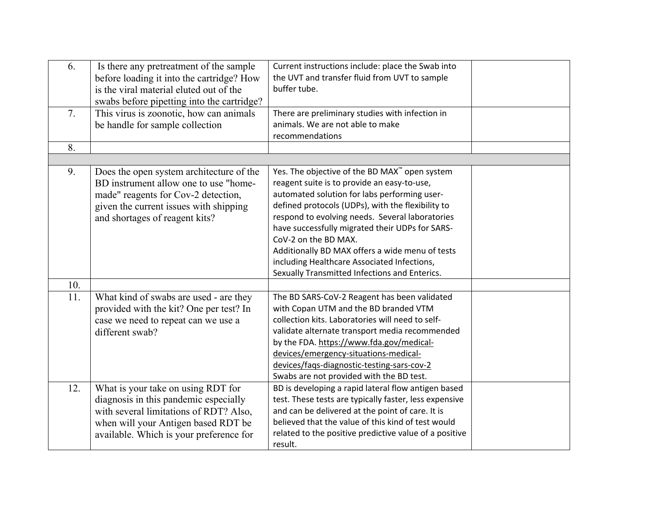| 6.  | Is there any pretreatment of the sample<br>before loading it into the cartridge? How<br>is the viral material eluted out of the<br>swabs before pipetting into the cartridge?                           | Current instructions include: place the Swab into<br>the UVT and transfer fluid from UVT to sample<br>buffer tube.                                                                                                                                                                                                                                                                                                                                                                 |  |
|-----|---------------------------------------------------------------------------------------------------------------------------------------------------------------------------------------------------------|------------------------------------------------------------------------------------------------------------------------------------------------------------------------------------------------------------------------------------------------------------------------------------------------------------------------------------------------------------------------------------------------------------------------------------------------------------------------------------|--|
| 7.  | This virus is zoonotic, how can animals<br>be handle for sample collection                                                                                                                              | There are preliminary studies with infection in<br>animals. We are not able to make<br>recommendations                                                                                                                                                                                                                                                                                                                                                                             |  |
| 8.  |                                                                                                                                                                                                         |                                                                                                                                                                                                                                                                                                                                                                                                                                                                                    |  |
| 9.  | Does the open system architecture of the<br>BD instrument allow one to use "home-<br>made" reagents for Cov-2 detection,<br>given the current issues with shipping<br>and shortages of reagent kits?    | Yes. The objective of the BD MAX™ open system<br>reagent suite is to provide an easy-to-use,<br>automated solution for labs performing user-<br>defined protocols (UDPs), with the flexibility to<br>respond to evolving needs. Several laboratories<br>have successfully migrated their UDPs for SARS-<br>CoV-2 on the BD MAX.<br>Additionally BD MAX offers a wide menu of tests<br>including Healthcare Associated Infections,<br>Sexually Transmitted Infections and Enterics. |  |
| 10. |                                                                                                                                                                                                         |                                                                                                                                                                                                                                                                                                                                                                                                                                                                                    |  |
| 11. | What kind of swabs are used - are they<br>provided with the kit? One per test? In<br>case we need to repeat can we use a<br>different swab?                                                             | The BD SARS-CoV-2 Reagent has been validated<br>with Copan UTM and the BD branded VTM<br>collection kits. Laboratories will need to self-<br>validate alternate transport media recommended<br>by the FDA. https://www.fda.gov/medical-<br>devices/emergency-situations-medical-<br>devices/faqs-diagnostic-testing-sars-cov-2<br>Swabs are not provided with the BD test.                                                                                                         |  |
| 12. | What is your take on using RDT for<br>diagnosis in this pandemic especially<br>with several limitations of RDT? Also,<br>when will your Antigen based RDT be<br>available. Which is your preference for | BD is developing a rapid lateral flow antigen based<br>test. These tests are typically faster, less expensive<br>and can be delivered at the point of care. It is<br>believed that the value of this kind of test would<br>related to the positive predictive value of a positive<br>result.                                                                                                                                                                                       |  |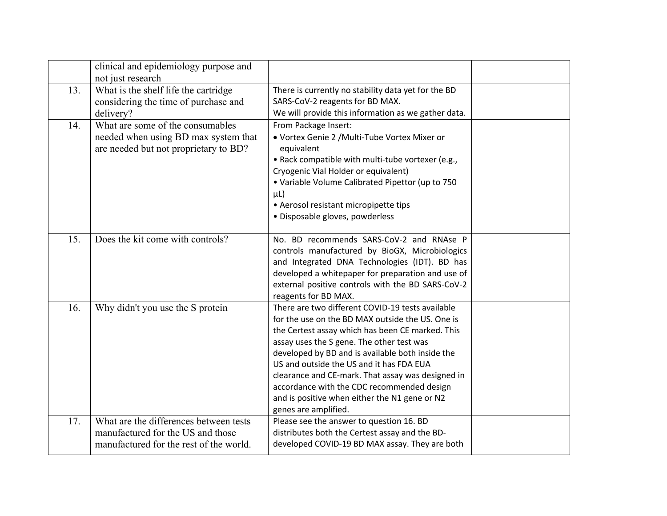|     | clinical and epidemiology purpose and<br>not just research                                                             |                                                                                                                                                                                                                                                                                                                                                                                                                                                                                   |  |
|-----|------------------------------------------------------------------------------------------------------------------------|-----------------------------------------------------------------------------------------------------------------------------------------------------------------------------------------------------------------------------------------------------------------------------------------------------------------------------------------------------------------------------------------------------------------------------------------------------------------------------------|--|
| 13. | What is the shelf life the cartridge<br>considering the time of purchase and<br>delivery?                              | There is currently no stability data yet for the BD<br>SARS-CoV-2 reagents for BD MAX.<br>We will provide this information as we gather data.                                                                                                                                                                                                                                                                                                                                     |  |
| 14. | What are some of the consumables<br>needed when using BD max system that<br>are needed but not proprietary to BD?      | From Package Insert:<br>· Vortex Genie 2 / Multi-Tube Vortex Mixer or<br>equivalent<br>. Rack compatible with multi-tube vortexer (e.g.,<br>Cryogenic Vial Holder or equivalent)<br>• Variable Volume Calibrated Pipettor (up to 750<br>$\mu$ L)<br>• Aerosol resistant micropipette tips<br>· Disposable gloves, powderless                                                                                                                                                      |  |
| 15. | Does the kit come with controls?                                                                                       | No. BD recommends SARS-CoV-2 and RNAse P<br>controls manufactured by BioGX, Microbiologics<br>and Integrated DNA Technologies (IDT). BD has<br>developed a whitepaper for preparation and use of<br>external positive controls with the BD SARS-CoV-2<br>reagents for BD MAX.                                                                                                                                                                                                     |  |
| 16. | Why didn't you use the S protein                                                                                       | There are two different COVID-19 tests available<br>for the use on the BD MAX outside the US. One is<br>the Certest assay which has been CE marked. This<br>assay uses the S gene. The other test was<br>developed by BD and is available both inside the<br>US and outside the US and it has FDA EUA<br>clearance and CE-mark. That assay was designed in<br>accordance with the CDC recommended design<br>and is positive when either the N1 gene or N2<br>genes are amplified. |  |
| 17. | What are the differences between tests<br>manufactured for the US and those<br>manufactured for the rest of the world. | Please see the answer to question 16. BD<br>distributes both the Certest assay and the BD-<br>developed COVID-19 BD MAX assay. They are both                                                                                                                                                                                                                                                                                                                                      |  |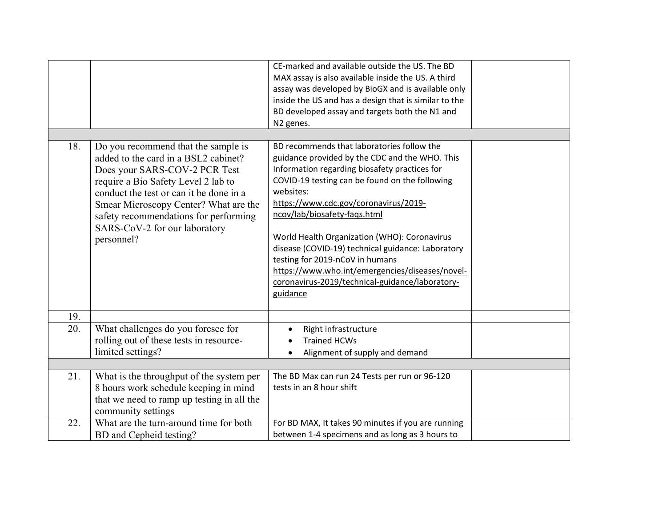|     |                                                                                                                                                                                                                                                                                                                                 | CE-marked and available outside the US. The BD<br>MAX assay is also available inside the US. A third<br>assay was developed by BioGX and is available only<br>inside the US and has a design that is similar to the<br>BD developed assay and targets both the N1 and<br>N2 genes.                                                                                                                                                                                                                                                              |  |
|-----|---------------------------------------------------------------------------------------------------------------------------------------------------------------------------------------------------------------------------------------------------------------------------------------------------------------------------------|-------------------------------------------------------------------------------------------------------------------------------------------------------------------------------------------------------------------------------------------------------------------------------------------------------------------------------------------------------------------------------------------------------------------------------------------------------------------------------------------------------------------------------------------------|--|
| 18. | Do you recommend that the sample is<br>added to the card in a BSL2 cabinet?<br>Does your SARS-COV-2 PCR Test<br>require a Bio Safety Level 2 lab to<br>conduct the test or can it be done in a<br>Smear Microscopy Center? What are the<br>safety recommendations for performing<br>SARS-CoV-2 for our laboratory<br>personnel? | BD recommends that laboratories follow the<br>guidance provided by the CDC and the WHO. This<br>Information regarding biosafety practices for<br>COVID-19 testing can be found on the following<br>websites:<br>https://www.cdc.gov/coronavirus/2019-<br>ncov/lab/biosafety-fags.html<br>World Health Organization (WHO): Coronavirus<br>disease (COVID-19) technical guidance: Laboratory<br>testing for 2019-nCoV in humans<br>https://www.who.int/emergencies/diseases/novel-<br>coronavirus-2019/technical-guidance/laboratory-<br>guidance |  |
| 19. |                                                                                                                                                                                                                                                                                                                                 |                                                                                                                                                                                                                                                                                                                                                                                                                                                                                                                                                 |  |
| 20. | What challenges do you foresee for<br>rolling out of these tests in resource-<br>limited settings?                                                                                                                                                                                                                              | Right infrastructure<br>$\bullet$<br><b>Trained HCWs</b><br>Alignment of supply and demand                                                                                                                                                                                                                                                                                                                                                                                                                                                      |  |
| 21. | What is the throughput of the system per<br>8 hours work schedule keeping in mind<br>that we need to ramp up testing in all the<br>community settings                                                                                                                                                                           | The BD Max can run 24 Tests per run or 96-120<br>tests in an 8 hour shift                                                                                                                                                                                                                                                                                                                                                                                                                                                                       |  |
| 22. | What are the turn-around time for both<br>BD and Cepheid testing?                                                                                                                                                                                                                                                               | For BD MAX, It takes 90 minutes if you are running<br>between 1-4 specimens and as long as 3 hours to                                                                                                                                                                                                                                                                                                                                                                                                                                           |  |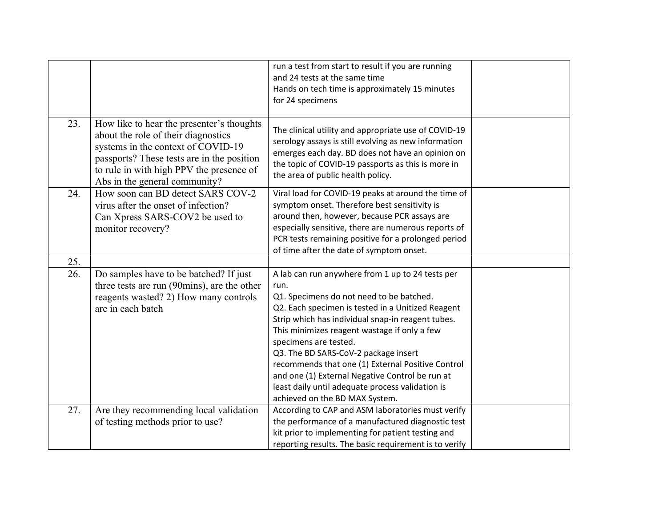|     |                                                                                                                                                                                                                                                   | run a test from start to result if you are running<br>and 24 tests at the same time<br>Hands on tech time is approximately 15 minutes<br>for 24 specimens                                                                                                                                                                                                        |  |
|-----|---------------------------------------------------------------------------------------------------------------------------------------------------------------------------------------------------------------------------------------------------|------------------------------------------------------------------------------------------------------------------------------------------------------------------------------------------------------------------------------------------------------------------------------------------------------------------------------------------------------------------|--|
|     |                                                                                                                                                                                                                                                   |                                                                                                                                                                                                                                                                                                                                                                  |  |
| 23. | How like to hear the presenter's thoughts<br>about the role of their diagnostics<br>systems in the context of COVID-19<br>passports? These tests are in the position<br>to rule in with high PPV the presence of<br>Abs in the general community? | The clinical utility and appropriate use of COVID-19<br>serology assays is still evolving as new information<br>emerges each day. BD does not have an opinion on<br>the topic of COVID-19 passports as this is more in<br>the area of public health policy.                                                                                                      |  |
| 24. | How soon can BD detect SARS COV-2<br>virus after the onset of infection?<br>Can Xpress SARS-COV2 be used to<br>monitor recovery?                                                                                                                  | Viral load for COVID-19 peaks at around the time of<br>symptom onset. Therefore best sensitivity is<br>around then, however, because PCR assays are<br>especially sensitive, there are numerous reports of<br>PCR tests remaining positive for a prolonged period<br>of time after the date of symptom onset.                                                    |  |
| 25. |                                                                                                                                                                                                                                                   |                                                                                                                                                                                                                                                                                                                                                                  |  |
| 26. | Do samples have to be batched? If just<br>three tests are run (90mins), are the other<br>reagents wasted? 2) How many controls<br>are in each batch                                                                                               | A lab can run anywhere from 1 up to 24 tests per<br>run.<br>Q1. Specimens do not need to be batched.<br>Q2. Each specimen is tested in a Unitized Reagent                                                                                                                                                                                                        |  |
|     |                                                                                                                                                                                                                                                   | Strip which has individual snap-in reagent tubes.<br>This minimizes reagent wastage if only a few<br>specimens are tested.<br>Q3. The BD SARS-CoV-2 package insert<br>recommends that one (1) External Positive Control<br>and one (1) External Negative Control be run at<br>least daily until adequate process validation is<br>achieved on the BD MAX System. |  |
| 27. | Are they recommending local validation<br>of testing methods prior to use?                                                                                                                                                                        | According to CAP and ASM laboratories must verify<br>the performance of a manufactured diagnostic test<br>kit prior to implementing for patient testing and<br>reporting results. The basic requirement is to verify                                                                                                                                             |  |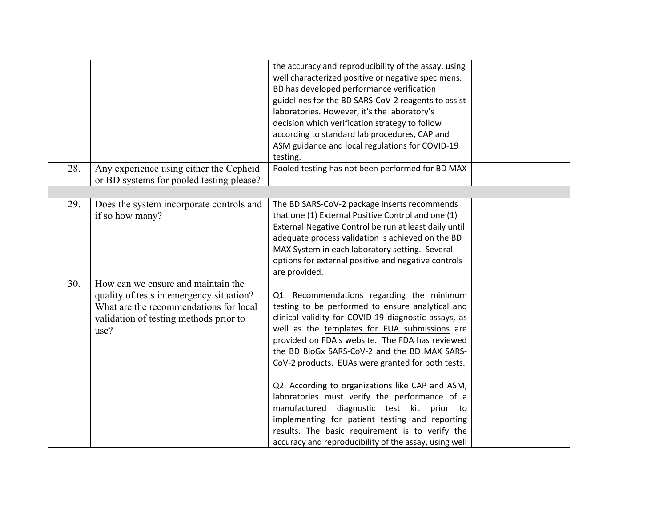| 28. | Any experience using either the Cepheid                                                                                                                                    | the accuracy and reproducibility of the assay, using<br>well characterized positive or negative specimens.<br>BD has developed performance verification<br>guidelines for the BD SARS-CoV-2 reagents to assist<br>laboratories. However, it's the laboratory's<br>decision which verification strategy to follow<br>according to standard lab procedures, CAP and<br>ASM guidance and local regulations for COVID-19<br>testing.<br>Pooled testing has not been performed for BD MAX |  |
|-----|----------------------------------------------------------------------------------------------------------------------------------------------------------------------------|--------------------------------------------------------------------------------------------------------------------------------------------------------------------------------------------------------------------------------------------------------------------------------------------------------------------------------------------------------------------------------------------------------------------------------------------------------------------------------------|--|
|     | or BD systems for pooled testing please?                                                                                                                                   |                                                                                                                                                                                                                                                                                                                                                                                                                                                                                      |  |
|     |                                                                                                                                                                            |                                                                                                                                                                                                                                                                                                                                                                                                                                                                                      |  |
| 29. | Does the system incorporate controls and<br>if so how many?                                                                                                                | The BD SARS-CoV-2 package inserts recommends<br>that one (1) External Positive Control and one (1)<br>External Negative Control be run at least daily until<br>adequate process validation is achieved on the BD<br>MAX System in each laboratory setting. Several                                                                                                                                                                                                                   |  |
|     |                                                                                                                                                                            | options for external positive and negative controls<br>are provided.                                                                                                                                                                                                                                                                                                                                                                                                                 |  |
| 30. | How can we ensure and maintain the<br>quality of tests in emergency situation?<br>What are the recommendations for local<br>validation of testing methods prior to<br>use? | Q1. Recommendations regarding the minimum<br>testing to be performed to ensure analytical and<br>clinical validity for COVID-19 diagnostic assays, as<br>well as the templates for EUA submissions are<br>provided on FDA's website. The FDA has reviewed<br>the BD BioGx SARS-CoV-2 and the BD MAX SARS-<br>CoV-2 products. EUAs were granted for both tests.                                                                                                                       |  |
|     |                                                                                                                                                                            | Q2. According to organizations like CAP and ASM,<br>laboratories must verify the performance of a<br>manufactured diagnostic test kit prior to<br>implementing for patient testing and reporting<br>results. The basic requirement is to verify the<br>accuracy and reproducibility of the assay, using well                                                                                                                                                                         |  |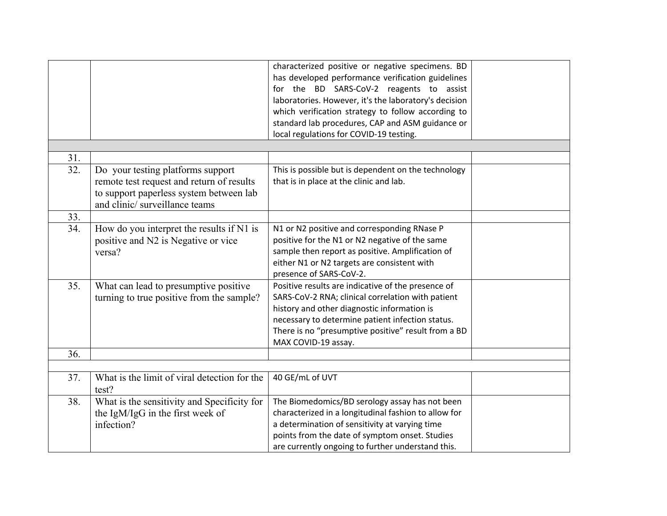|     |                                              | characterized positive or negative specimens. BD      |  |
|-----|----------------------------------------------|-------------------------------------------------------|--|
|     |                                              | has developed performance verification guidelines     |  |
|     |                                              | for the BD SARS-CoV-2 reagents to assist              |  |
|     |                                              | laboratories. However, it's the laboratory's decision |  |
|     |                                              | which verification strategy to follow according to    |  |
|     |                                              | standard lab procedures, CAP and ASM guidance or      |  |
|     |                                              | local regulations for COVID-19 testing.               |  |
|     |                                              |                                                       |  |
| 31. |                                              |                                                       |  |
| 32. | Do your testing platforms support            | This is possible but is dependent on the technology   |  |
|     | remote test request and return of results    | that is in place at the clinic and lab.               |  |
|     | to support paperless system between lab      |                                                       |  |
|     | and clinic/surveillance teams                |                                                       |  |
| 33. |                                              |                                                       |  |
| 34. | How do you interpret the results if N1 is    | N1 or N2 positive and corresponding RNase P           |  |
|     | positive and N2 is Negative or vice          | positive for the N1 or N2 negative of the same        |  |
|     | versa?                                       | sample then report as positive. Amplification of      |  |
|     |                                              | either N1 or N2 targets are consistent with           |  |
|     |                                              |                                                       |  |
|     |                                              | presence of SARS-CoV-2.                               |  |
| 35. | What can lead to presumptive positive        | Positive results are indicative of the presence of    |  |
|     | turning to true positive from the sample?    | SARS-CoV-2 RNA; clinical correlation with patient     |  |
|     |                                              | history and other diagnostic information is           |  |
|     |                                              | necessary to determine patient infection status.      |  |
|     |                                              | There is no "presumptive positive" result from a BD   |  |
|     |                                              | MAX COVID-19 assay.                                   |  |
| 36. |                                              |                                                       |  |
|     |                                              |                                                       |  |
| 37. | What is the limit of viral detection for the | 40 GE/mL of UVT                                       |  |
|     | test?                                        |                                                       |  |
| 38. | What is the sensitivity and Specificity for  | The Biomedomics/BD serology assay has not been        |  |
|     | the IgM/IgG in the first week of             | characterized in a longitudinal fashion to allow for  |  |
|     | infection?                                   | a determination of sensitivity at varying time        |  |
|     |                                              | points from the date of symptom onset. Studies        |  |
|     |                                              | are currently ongoing to further understand this.     |  |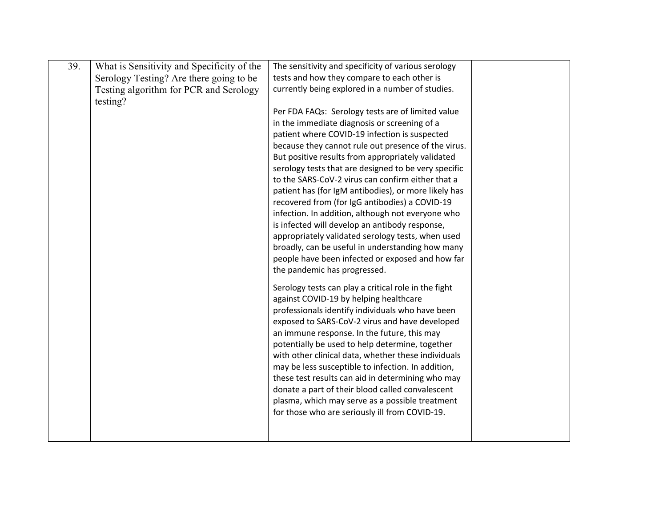| 39. | What is Sensitivity and Specificity of the | The sensitivity and specificity of various serology                                            |  |
|-----|--------------------------------------------|------------------------------------------------------------------------------------------------|--|
|     | Serology Testing? Are there going to be    | tests and how they compare to each other is                                                    |  |
|     | Testing algorithm for PCR and Serology     | currently being explored in a number of studies.                                               |  |
|     | testing?                                   |                                                                                                |  |
|     |                                            | Per FDA FAQs: Serology tests are of limited value                                              |  |
|     |                                            | in the immediate diagnosis or screening of a                                                   |  |
|     |                                            | patient where COVID-19 infection is suspected                                                  |  |
|     |                                            | because they cannot rule out presence of the virus.                                            |  |
|     |                                            | But positive results from appropriately validated                                              |  |
|     |                                            | serology tests that are designed to be very specific                                           |  |
|     |                                            | to the SARS-CoV-2 virus can confirm either that a                                              |  |
|     |                                            | patient has (for IgM antibodies), or more likely has                                           |  |
|     |                                            | recovered from (for IgG antibodies) a COVID-19                                                 |  |
|     |                                            | infection. In addition, although not everyone who                                              |  |
|     |                                            | is infected will develop an antibody response,                                                 |  |
|     |                                            | appropriately validated serology tests, when used                                              |  |
|     |                                            | broadly, can be useful in understanding how many                                               |  |
|     |                                            | people have been infected or exposed and how far                                               |  |
|     |                                            | the pandemic has progressed.                                                                   |  |
|     |                                            |                                                                                                |  |
|     |                                            | Serology tests can play a critical role in the fight<br>against COVID-19 by helping healthcare |  |
|     |                                            | professionals identify individuals who have been                                               |  |
|     |                                            | exposed to SARS-CoV-2 virus and have developed                                                 |  |
|     |                                            | an immune response. In the future, this may                                                    |  |
|     |                                            | potentially be used to help determine, together                                                |  |
|     |                                            | with other clinical data, whether these individuals                                            |  |
|     |                                            | may be less susceptible to infection. In addition,                                             |  |
|     |                                            | these test results can aid in determining who may                                              |  |
|     |                                            | donate a part of their blood called convalescent                                               |  |
|     |                                            | plasma, which may serve as a possible treatment                                                |  |
|     |                                            | for those who are seriously ill from COVID-19.                                                 |  |
|     |                                            |                                                                                                |  |
|     |                                            |                                                                                                |  |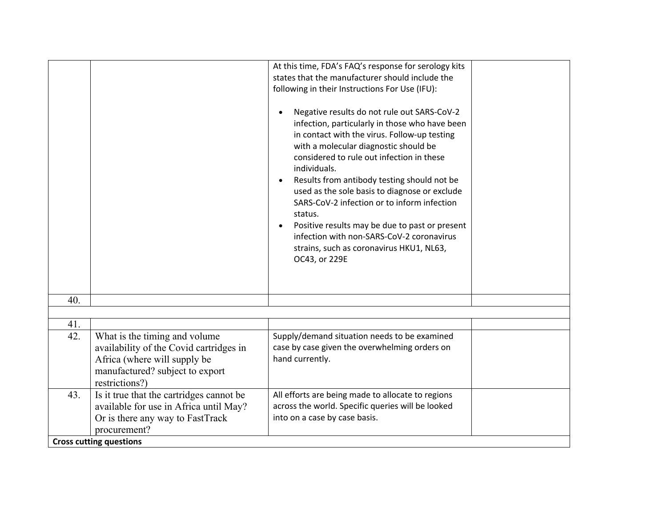|     |                                                                                                                                                               | At this time, FDA's FAQ's response for serology kits                                                                                                                                                                                                                                                                                                                                               |
|-----|---------------------------------------------------------------------------------------------------------------------------------------------------------------|----------------------------------------------------------------------------------------------------------------------------------------------------------------------------------------------------------------------------------------------------------------------------------------------------------------------------------------------------------------------------------------------------|
|     |                                                                                                                                                               | states that the manufacturer should include the                                                                                                                                                                                                                                                                                                                                                    |
|     |                                                                                                                                                               | following in their Instructions For Use (IFU):                                                                                                                                                                                                                                                                                                                                                     |
|     |                                                                                                                                                               |                                                                                                                                                                                                                                                                                                                                                                                                    |
|     |                                                                                                                                                               | Negative results do not rule out SARS-CoV-2<br>infection, particularly in those who have been<br>in contact with the virus. Follow-up testing<br>with a molecular diagnostic should be<br>considered to rule out infection in these<br>individuals.<br>Results from antibody testing should not be<br>used as the sole basis to diagnose or exclude<br>SARS-CoV-2 infection or to inform infection |
|     |                                                                                                                                                               | status.<br>Positive results may be due to past or present<br>infection with non-SARS-CoV-2 coronavirus<br>strains, such as coronavirus HKU1, NL63,<br>OC43, or 229E                                                                                                                                                                                                                                |
|     |                                                                                                                                                               |                                                                                                                                                                                                                                                                                                                                                                                                    |
| 40. |                                                                                                                                                               |                                                                                                                                                                                                                                                                                                                                                                                                    |
|     |                                                                                                                                                               |                                                                                                                                                                                                                                                                                                                                                                                                    |
| 41. |                                                                                                                                                               |                                                                                                                                                                                                                                                                                                                                                                                                    |
| 42. | What is the timing and volume<br>availability of the Covid cartridges in<br>Africa (where will supply be<br>manufactured? subject to export<br>restrictions?) | Supply/demand situation needs to be examined<br>case by case given the overwhelming orders on<br>hand currently.                                                                                                                                                                                                                                                                                   |
| 43. | Is it true that the cartridges cannot be                                                                                                                      | All efforts are being made to allocate to regions                                                                                                                                                                                                                                                                                                                                                  |
|     | available for use in Africa until May?                                                                                                                        | across the world. Specific queries will be looked                                                                                                                                                                                                                                                                                                                                                  |
|     | Or is there any way to FastTrack                                                                                                                              | into on a case by case basis.                                                                                                                                                                                                                                                                                                                                                                      |
|     | procurement?                                                                                                                                                  |                                                                                                                                                                                                                                                                                                                                                                                                    |
|     | <b>Cross cutting questions</b>                                                                                                                                |                                                                                                                                                                                                                                                                                                                                                                                                    |